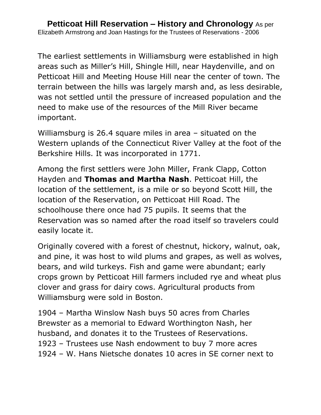The earliest settlements in Williamsburg were established in high areas such as Miller's Hill, Shingle Hill, near Haydenville, and on Petticoat Hill and Meeting House Hill near the center of town. The terrain between the hills was largely marsh and, as less desirable, was not settled until the pressure of increased population and the need to make use of the resources of the Mill River became important.

Williamsburg is 26.4 square miles in area – situated on the Western uplands of the Connecticut River Valley at the foot of the Berkshire Hills. It was incorporated in 1771.

Among the first settlers were John Miller, Frank Clapp, Cotton Hayden and **Thomas and Martha Nash**. Petticoat Hill, the location of the settlement, is a mile or so beyond Scott Hill, the location of the Reservation, on Petticoat Hill Road. The schoolhouse there once had 75 pupils. It seems that the Reservation was so named after the road itself so travelers could easily locate it.

Originally covered with a forest of chestnut, hickory, walnut, oak, and pine, it was host to wild plums and grapes, as well as wolves, bears, and wild turkeys. Fish and game were abundant; early crops grown by Petticoat Hill farmers included rye and wheat plus clover and grass for dairy cows. Agricultural products from Williamsburg were sold in Boston.

1904 – Martha Winslow Nash buys 50 acres from Charles Brewster as a memorial to Edward Worthington Nash, her husband, and donates it to the Trustees of Reservations. 1923 – Trustees use Nash endowment to buy 7 more acres 1924 – W. Hans Nietsche donates 10 acres in SE corner next to